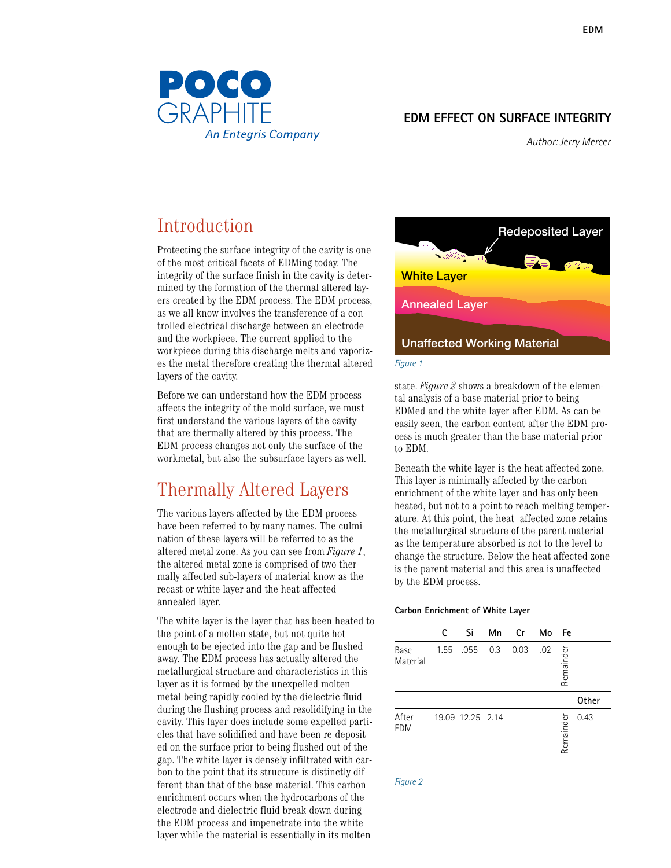

*Author: Jerry Mercer*

# Introduction

Protecting the surface integrity of the cavity is one of the most critical facets of EDMing today. The integrity of the surface finish in the cavity is determined by the formation of the thermal altered layers created by the EDM process. The EDM process, as we all know involves the transference of a controlled electrical discharge between an electrode and the workpiece. The current applied to the workpiece during this discharge melts and vaporizes the metal therefore creating the thermal altered layers of the cavity.

Before we can understand how the EDM process affects the integrity of the mold surface, we must first understand the various layers of the cavity that are thermally altered by this process. The EDM process changes not only the surface of the workmetal, but also the subsurface layers as well.

## Thermally Altered Layers

The various layers affected by the EDM process have been referred to by many names. The culmination of these layers will be referred to as the altered metal zone. As you can see from *Figure 1*, the altered metal zone is comprised of two thermally affected sub-layers of material know as the recast or white layer and the heat affected annealed layer.

The white layer is the layer that has been heated to the point of a molten state, but not quite hot enough to be ejected into the gap and be flushed away. The EDM process has actually altered the metallurgical structure and characteristics in this layer as it is formed by the unexpelled molten metal being rapidly cooled by the dielectric fluid during the flushing process and resolidifying in the cavity. This layer does include some expelled particles that have solidified and have been re-deposited on the surface prior to being flushed out of the gap. The white layer is densely infiltrated with carbon to the point that its structure is distinctly different than that of the base material. This carbon enrichment occurs when the hydrocarbons of the electrode and dielectric fluid break down during the EDM process and impenetrate into the white layer while the material is essentially in its molten



state. *Figure 2* shows a breakdown of the elemental analysis of a base material prior to being EDMed and the white layer after EDM. As can be easily seen, the carbon content after the EDM process is much greater than the base material prior to EDM.

Beneath the white layer is the heat affected zone. This layer is minimally affected by the carbon enrichment of the white layer and has only been heated, but not to a point to reach melting temperature. At this point, the heat affected zone retains the metallurgical structure of the parent material as the temperature absorbed is not to the level to change the structure. Below the heat affected zone is the parent material and this area is unaffected by the EDM process.

#### **Carbon Enrichment of White Layer**

|                     | C    | Si               | Mn  | Cr   | Mo  | <b>Fe</b> |       |
|---------------------|------|------------------|-----|------|-----|-----------|-------|
| Base<br>Material    | 1.55 | .055             | 0.3 | 0.03 | .02 | Remainder |       |
|                     |      |                  |     |      |     |           | Other |
| After<br><b>EDM</b> |      | 19.09 12.25 2.14 |     |      |     | Remainder | 0.43  |

*Figure 2*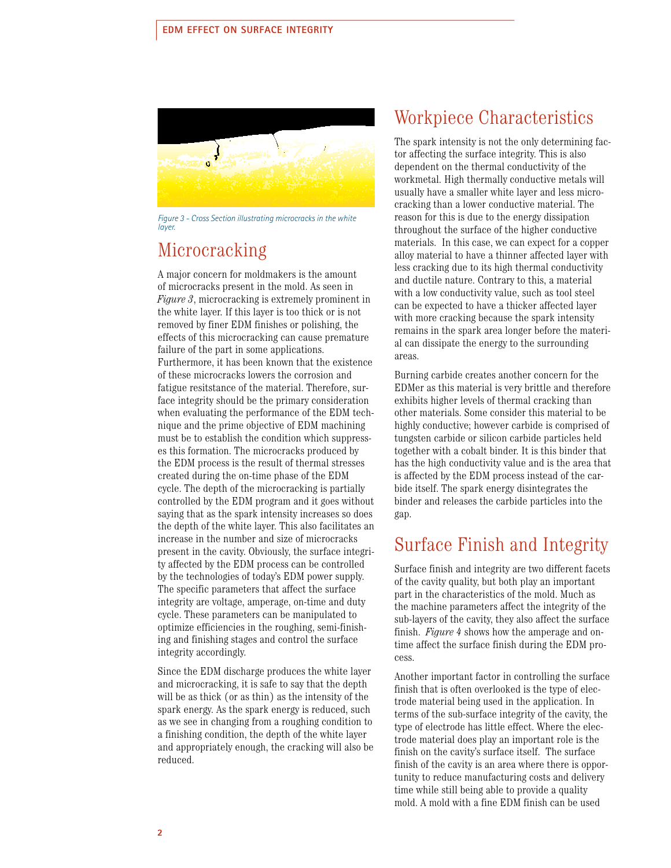

*Figure 3 - Cross Section illustrating microcracks in the white*<br>Javer in the white layer *layer.*

## Microcracking

A major concern for moldmakers is the amount of microcracks present in the mold. As seen in *Figure 3*, microcracking is extremely prominent in the white layer. If this layer is too thick or is not removed by finer EDM finishes or polishing, the effects of this microcracking can cause premature failure of the part in some applications. Furthermore, it has been known that the existence of these microcracks lowers the corrosion and fatigue resitstance of the material. Therefore, surface integrity should be the primary consideration when evaluating the performance of the EDM technique and the prime objective of EDM machining must be to establish the condition which suppresses this formation. The microcracks produced by the EDM process is the result of thermal stresses created during the on-time phase of the EDM cycle. The depth of the microcracking is partially controlled by the EDM program and it goes without saying that as the spark intensity increases so does the depth of the white layer. This also facilitates an increase in the number and size of microcracks present in the cavity. Obviously, the surface integrity affected by the EDM process can be controlled by the technologies of today's EDM power supply. The specific parameters that affect the surface integrity are voltage, amperage, on-time and duty cycle. These parameters can be manipulated to optimize efficiencies in the roughing, semi-finishing and finishing stages and control the surface integrity accordingly.

Since the EDM discharge produces the white layer and microcracking, it is safe to say that the depth will be as thick (or as thin) as the intensity of the spark energy. As the spark energy is reduced, such as we see in changing from a roughing condition to a finishing condition, the depth of the white layer and appropriately enough, the cracking will also be reduced.

## Workpiece Characteristics

The spark intensity is not the only determining factor affecting the surface integrity. This is also dependent on the thermal conductivity of the workmetal. High thermally conductive metals will usually have a smaller white layer and less microcracking than a lower conductive material. The reason for this is due to the energy dissipation throughout the surface of the higher conductive materials. In this case, we can expect for a copper alloy material to have a thinner affected layer with less cracking due to its high thermal conductivity and ductile nature. Contrary to this, a material with a low conductivity value, such as tool steel can be expected to have a thicker affected layer with more cracking because the spark intensity remains in the spark area longer before the material can dissipate the energy to the surrounding areas.

Burning carbide creates another concern for the EDMer as this material is very brittle and therefore exhibits higher levels of thermal cracking than other materials. Some consider this material to be highly conductive; however carbide is comprised of tungsten carbide or silicon carbide particles held together with a cobalt binder. It is this binder that has the high conductivity value and is the area that is affected by the EDM process instead of the carbide itself. The spark energy disintegrates the binder and releases the carbide particles into the gap.

### Surface Finish and Integrity

Surface finish and integrity are two different facets of the cavity quality, but both play an important part in the characteristics of the mold. Much as the machine parameters affect the integrity of the sub-layers of the cavity, they also affect the surface finish. *Figure 4* shows how the amperage and ontime affect the surface finish during the EDM process.

Another important factor in controlling the surface finish that is often overlooked is the type of electrode material being used in the application. In terms of the sub-surface integrity of the cavity, the type of electrode has little effect. Where the electrode material does play an important role is the finish on the cavity's surface itself. The surface finish of the cavity is an area where there is opportunity to reduce manufacturing costs and delivery time while still being able to provide a quality mold. A mold with a fine EDM finish can be used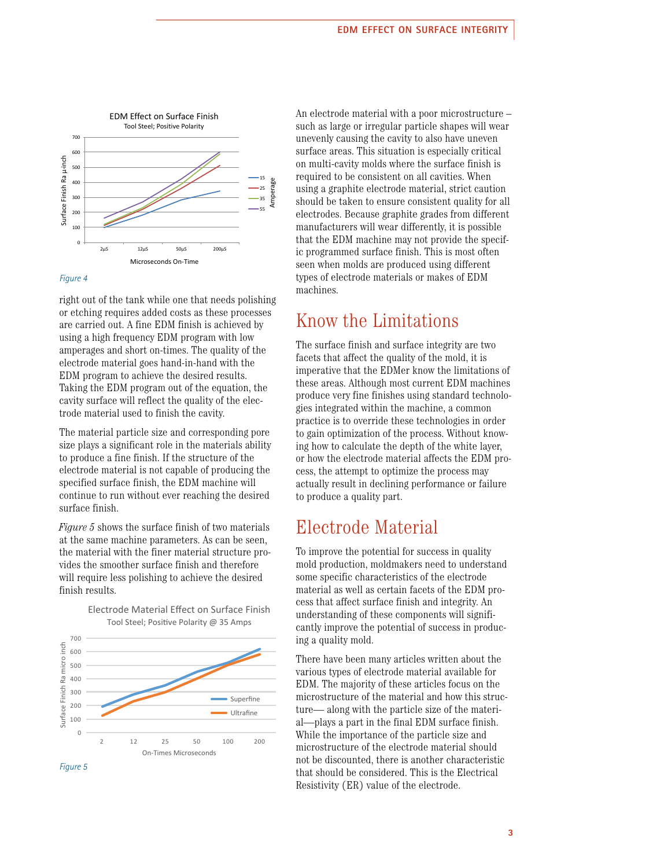

#### *Figure 4*

right out of the tank while one that needs polishing or etching requires added costs as these processes are carried out. A fine EDM finish is achieved by using a high frequency EDM program with low amperages and short on-times. The quality of the electrode material goes hand-in-hand with the EDM program to achieve the desired results. Taking the EDM program out of the equation, the cavity surface will reflect the quality of the electrode material used to finish the cavity.

The material particle size and corresponding pore size plays a significant role in the materials ability to produce a fine finish. If the structure of the electrode material is not capable of producing the specified surface finish, the EDM machine will continue to run without ever reaching the desired surface finish.

*Figure 5* shows the surface finish of two materials at the same machine parameters. As can be seen, the material with the finer material structure provides the smoother surface finish and therefore will require less polishing to achieve the desired finish results.





An electrode material with a poor microstructure – such as large or irregular particle shapes will wear unevenly causing the cavity to also have uneven surface areas. This situation is especially critical on multi-cavity molds where the surface finish is required to be consistent on all cavities. When using a graphite electrode material, strict caution should be taken to ensure consistent quality for all electrodes. Because graphite grades from different manufacturers will wear differently, it is possible that the EDM machine may not provide the specific programmed surface finish. This is most often seen when molds are produced using different types of electrode materials or makes of EDM machines.

### Know the Limitations

The surface finish and surface integrity are two facets that affect the quality of the mold, it is imperative that the EDMer know the limitations of these areas. Although most current EDM machines produce very fine finishes using standard technologies integrated within the machine, a common practice is to override these technologies in order to gain optimization of the process. Without knowing how to calculate the depth of the white layer, or how the electrode material affects the EDM process, the attempt to optimize the process may actually result in declining performance or failure to produce a quality part.

## Electrode Material

To improve the potential for success in quality mold production, moldmakers need to understand some specific characteristics of the electrode material as well as certain facets of the EDM process that affect surface finish and integrity. An understanding of these components will significantly improve the potential of success in producing a quality mold.

There have been many articles written about the various types of electrode material available for EDM. The majority of these articles focus on the microstructure of the material and how this structure— along with the particle size of the material—plays a part in the final EDM surface finish. While the importance of the particle size and microstructure of the electrode material should not be discounted, there is another characteristic that should be considered. This is the Electrical Resistivity (ER) value of the electrode.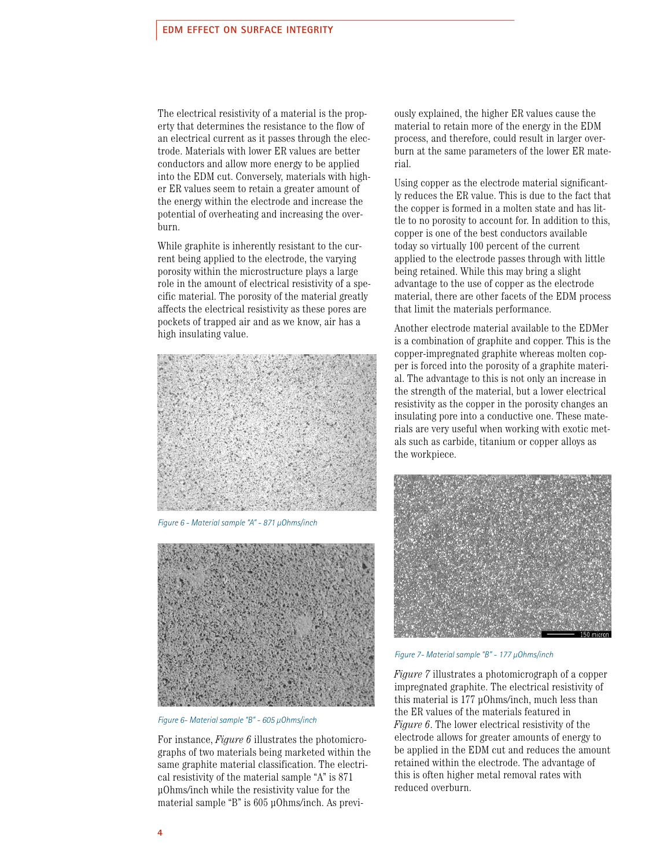The electrical resistivity of a material is the property that determines the resistance to the flow of an electrical current as it passes through the electrode. Materials with lower ER values are better conductors and allow more energy to be applied into the EDM cut. Conversely, materials with higher ER values seem to retain a greater amount of the energy within the electrode and increase the potential of overheating and increasing the overburn.

While graphite is inherently resistant to the current being applied to the electrode, the varying porosity within the microstructure plays a large role in the amount of electrical resistivity of a specific material. The porosity of the material greatly affects the electrical resistivity as these pores are pockets of trapped air and as we know, air has a high insulating value.



*Figure 6 - Material sample "A" - 871 µOhms/inch*



*Figure 6- Material sample "B" - 605 µOhms/inch*

For instance, *Figure 6* illustrates the photomicrographs of two materials being marketed within the same graphite material classification. The electrical resistivity of the material sample "A" is 871 μOhms/inch while the resistivity value for the material sample "B" is 605 μOhms/inch. As previously explained, the higher ER values cause the material to retain more of the energy in the EDM process, and therefore, could result in larger overburn at the same parameters of the lower ER material.

Using copper as the electrode material significantly reduces the ER value. This is due to the fact that the copper is formed in a molten state and has little to no porosity to account for. In addition to this, copper is one of the best conductors available today so virtually 100 percent of the current applied to the electrode passes through with little being retained. While this may bring a slight advantage to the use of copper as the electrode material, there are other facets of the EDM process that limit the materials performance.

Another electrode material available to the EDMer is a combination of graphite and copper. This is the copper-impregnated graphite whereas molten copper is forced into the porosity of a graphite material. The advantage to this is not only an increase in the strength of the material, but a lower electrical resistivity as the copper in the porosity changes an insulating pore into a conductive one. These materials are very useful when working with exotic metals such as carbide, titanium or copper alloys as the workpiece.



*Figure 7- Material sample "B" - 177 µOhms/inch*

*Figure 7* illustrates a photomicrograph of a copper impregnated graphite. The electrical resistivity of this material is 177 μOhms/inch, much less than the ER values of the materials featured in *Figure 6*. The lower electrical resistivity of the electrode allows for greater amounts of energy to be applied in the EDM cut and reduces the amount retained within the electrode. The advantage of this is often higher metal removal rates with reduced overburn.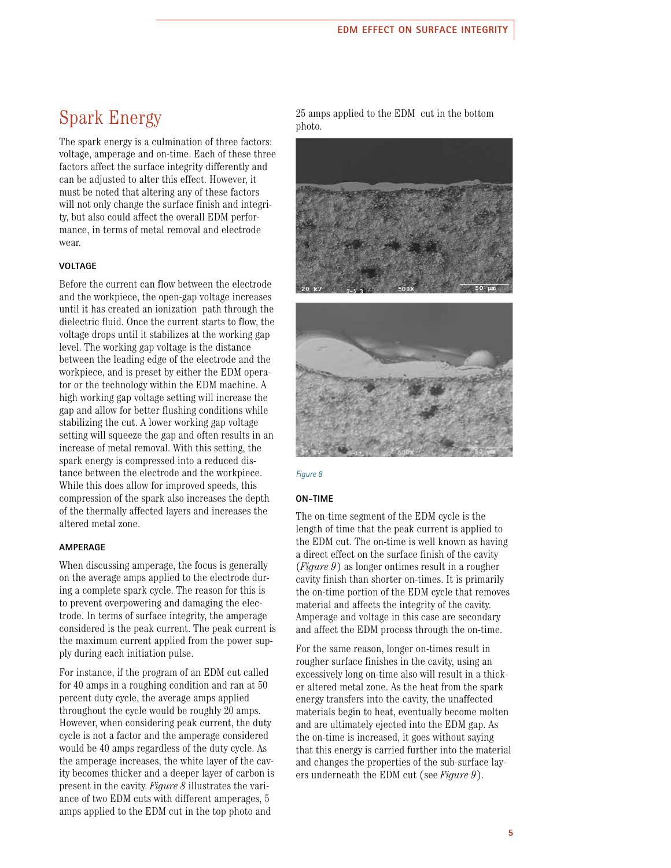## Spark Energy

The spark energy is a culmination of three factors: voltage, amperage and on-time. Each of these three factors affect the surface integrity differently and can be adjusted to alter this effect. However, it must be noted that altering any of these factors will not only change the surface finish and integrity, but also could affect the overall EDM performance, in terms of metal removal and electrode wear.

### **VOLTAGE**

Before the current can flow between the electrode and the workpiece, the open-gap voltage increases until it has created an ionization path through the dielectric fluid. Once the current starts to flow, the voltage drops until it stabilizes at the working gap level. The working gap voltage is the distance between the leading edge of the electrode and the workpiece, and is preset by either the EDM operator or the technology within the EDM machine. A high working gap voltage setting will increase the gap and allow for better flushing conditions while stabilizing the cut. A lower working gap voltage setting will squeeze the gap and often results in an increase of metal removal. With this setting, the spark energy is compressed into a reduced distance between the electrode and the workpiece. While this does allow for improved speeds, this compression of the spark also increases the depth of the thermally affected layers and increases the altered metal zone.

### **AMPERAGE**

When discussing amperage, the focus is generally on the average amps applied to the electrode during a complete spark cycle. The reason for this is to prevent overpowering and damaging the electrode. In terms of surface integrity, the amperage considered is the peak current. The peak current is the maximum current applied from the power supply during each initiation pulse.

For instance, if the program of an EDM cut called for 40 amps in a roughing condition and ran at 50 percent duty cycle, the average amps applied throughout the cycle would be roughly 20 amps. However, when considering peak current, the duty cycle is not a factor and the amperage considered would be 40 amps regardless of the duty cycle. As the amperage increases, the white layer of the cavity becomes thicker and a deeper layer of carbon is present in the cavity. *Figure 8* illustrates the variance of two EDM cuts with different amperages, 5 amps applied to the EDM cut in the top photo and

25 amps applied to the EDM cut in the bottom photo.





#### *Figure 8*

#### **ON-TIME**

The on-time segment of the EDM cycle is the length of time that the peak current is applied to the EDM cut. The on-time is well known as having a direct effect on the surface finish of the cavity (*Figure 9*) as longer ontimes result in a rougher cavity finish than shorter on-times. It is primarily the on-time portion of the EDM cycle that removes material and affects the integrity of the cavity. Amperage and voltage in this case are secondary and affect the EDM process through the on-time.

For the same reason, longer on-times result in rougher surface finishes in the cavity, using an excessively long on-time also will result in a thicker altered metal zone. As the heat from the spark energy transfers into the cavity, the unaffected materials begin to heat, eventually become molten and are ultimately ejected into the EDM gap. As the on-time is increased, it goes without saying that this energy is carried further into the material and changes the properties of the sub-surface layers underneath the EDM cut (see *Figure 9*).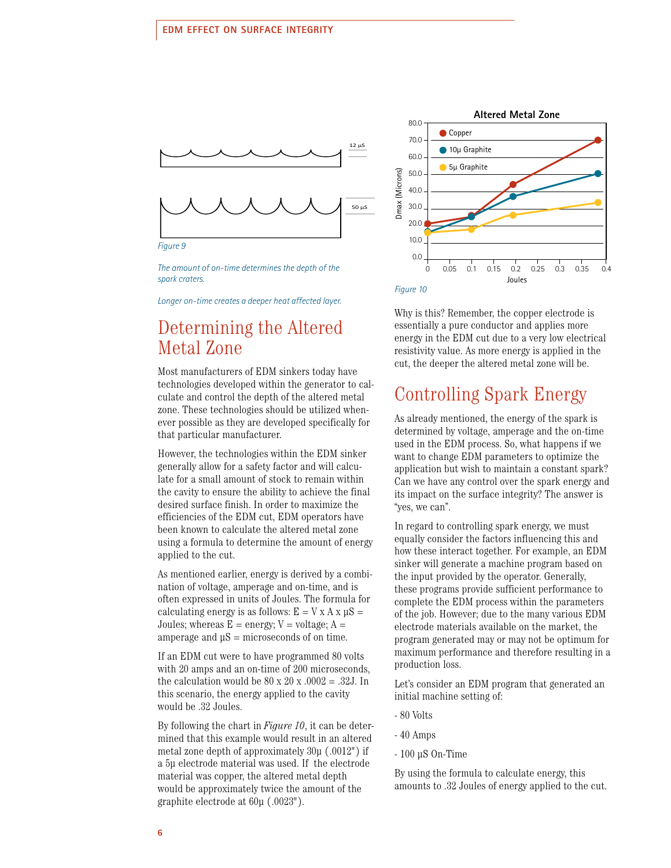Add to "On-Time" section, page 5 or wherever it will fit.



*The amount of on-time determines the depth of the spark craters.* 

*Longer on-time creates a deeper heat affected layer.*

## Determining the Altered Metal Zone

Most manufacturers of EDM sinkers today have technologies developed within the generator to calculate and control the depth of the altered metal zone. These technologies should be utilized whenever possible as they are developed specifically for that particular manufacturer.

However, the technologies within the EDM sinker generally allow for a safety factor and will calculate for a small amount of stock to remain within the cavity to ensure the ability to achieve the final desired surface finish. In order to maximize the efficiencies of the EDM cut, EDM operators have been known to calculate the altered metal zone using a formula to determine the amount of energy applied to the cut.

As mentioned earlier, energy is derived by a combination of voltage, amperage and on-time, and is often expressed in units of Joules. The formula for calculating energy is as follows:  $E = V X A X \mu S =$ Joules; whereas  $E = energy$ ;  $V = voltage$ ;  $A =$ amperage and  $\mu$ S = microseconds of on time.

If an EDM cut were to have programmed 80 volts with 20 amps and an on-time of 200 microseconds, the calculation would be  $80 \times 20 \times 0.002 = 0.32$ . In this scenario, the energy applied to the cavity would be .32 Joules.

By following the chart in *Figure 10*, it can be determined that this example would result in an altered metal zone depth of approximately  $30\mu$  (.0012") if a 5μ electrode material was used. If the electrode material was copper, the altered metal depth would be approximately twice the amount of the graphite electrode at 60μ (.0023").



Why is this? Remember, the copper electrode is essentially a pure conductor and applies more energy in the EDM cut due to a very low electrical resistivity value. As more energy is applied in the cut, the deeper the altered metal zone will be.

### Controlling Spark Energy

As already mentioned, the energy of the spark is determined by voltage, amperage and the on-time used in the EDM process. So, what happens if we want to change EDM parameters to optimize the application but wish to maintain a constant spark? Can we have any control over the spark energy and its impact on the surface integrity? The answer is "yes, we can".

In regard to controlling spark energy, we must equally consider the factors influencing this and how these interact together. For example, an EDM sinker will generate a machine program based on the input provided by the operator. Generally, these programs provide sufficient performance to complete the EDM process within the parameters of the job. However; due to the many various EDM electrode materials available on the market, the program generated may or may not be optimum for maximum performance and therefore resulting in a production loss.

Let's consider an EDM program that generated an initial machine setting of:

- 80 Volts
- 40 Amps
- 100 µS On-Time

By using the formula to calculate energy, this amounts to .32 Joules of energy applied to the cut.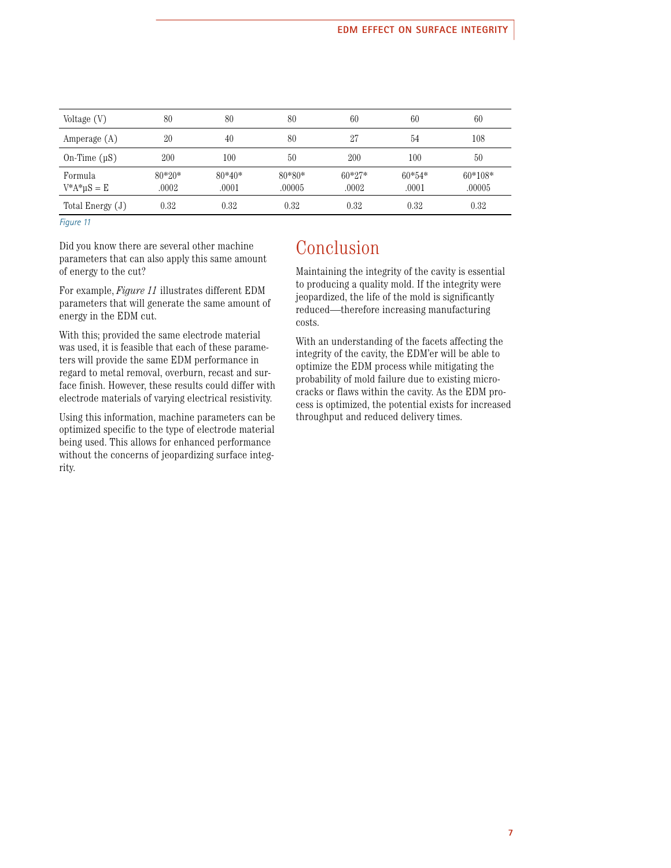| Voltage (V)               | 80                | 80                | 80                 | 60                | 60                | 60                  |
|---------------------------|-------------------|-------------------|--------------------|-------------------|-------------------|---------------------|
| Amperage (A)              | 20                | 40                | 80                 | 27                | 54                | 108                 |
| On-Time $(\mu S)$         | 200               | 100               | 50                 | 200               | 100               | 50                  |
| Formula<br>$V^*A^*uS = E$ | $80*20*$<br>.0002 | $80*40*$<br>.0001 | $80*80*$<br>.00005 | $60*27*$<br>.0002 | $60*54*$<br>.0001 | $60*108*$<br>.00005 |
| Total Energy $(J)$        | 0.32              | 0.32              | 0.32               | 0.32              | 0.32              | 0.32                |

*Figure 11*

Did you know there are several other machine parameters that can also apply this same amount of energy to the cut?

For example, *Figure 11* illustrates different EDM parameters that will generate the same amount of energy in the EDM cut.

With this; provided the same electrode material was used, it is feasible that each of these parameters will provide the same EDM performance in regard to metal removal, overburn, recast and surface finish. However, these results could differ with electrode materials of varying electrical resistivity.

Using this information, machine parameters can be optimized specific to the type of electrode material being used. This allows for enhanced performance without the concerns of jeopardizing surface integrity.

# Conclusion

Maintaining the integrity of the cavity is essential to producing a quality mold. If the integrity were jeopardized, the life of the mold is significantly reduced—therefore increasing manufacturing costs.

With an understanding of the facets affecting the integrity of the cavity, the EDM'er will be able to optimize the EDM process while mitigating the probability of mold failure due to existing microcracks or flaws within the cavity. As the EDM process is optimized, the potential exists for increased throughput and reduced delivery times.